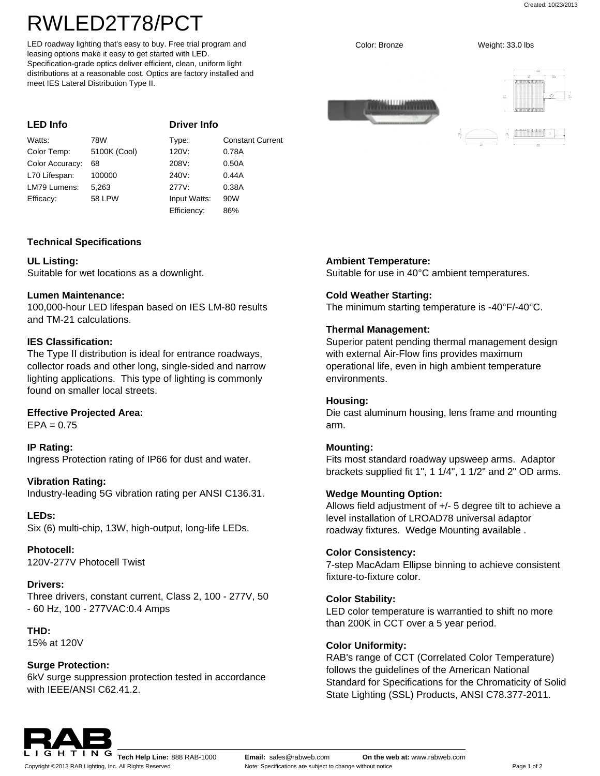Created: 10/23/2013

# RWLED2T78/PCT

LED roadway lighting that's easy to buy. Free trial program and leasing options make it easy to get started with LED. Specification-grade optics deliver efficient, clean, uniform light distributions at a reasonable cost. Optics are factory installed and meet IES Lateral Distribution Type II.

| <b>LED Info</b> |               | <b>Driver Info</b> |                         |
|-----------------|---------------|--------------------|-------------------------|
| Watts:          | 78W           | Type:              | <b>Constant Current</b> |
| Color Temp:     | 5100K (Cool)  | 120V:              | 0.78A                   |
| Color Accuracy: | 68            | 208V:              | 0.50A                   |
| L70 Lifespan:   | 100000        | 240V.              | 0.44A                   |
| LM79 Lumens:    | 5.263         | 277V:              | 0.38A                   |
| Efficacy:       | <b>58 LPW</b> | Input Watts:       | 90W                     |
|                 |               | Efficiency:        | 86%                     |

## **Technical Specifications**

## **UL Listing:**

Suitable for wet locations as a downlight.

#### **Lumen Maintenance:**

100,000-hour LED lifespan based on IES LM-80 results and TM-21 calculations.

## **IES Classification:**

The Type II distribution is ideal for entrance roadways, collector roads and other long, single-sided and narrow lighting applications. This type of lighting is commonly found on smaller local streets.

## **Effective Projected Area:**

 $EPA = 0.75$ 

**IP Rating:** Ingress Protection rating of IP66 for dust and water.

## **Vibration Rating:**

Industry-leading 5G vibration rating per ANSI C136.31.

**LEDs:** Six (6) multi-chip, 13W, high-output, long-life LEDs.

**Photocell:** 120V-277V Photocell Twist

# **Drivers:**

Three drivers, constant current, Class 2, 100 - 277V, 50 - 60 Hz, 100 - 277VAC:0.4 Amps

# **THD:**

15% at 120V

# **Surge Protection:**

6kV surge suppression protection tested in accordance with IEEE/ANSI C62.41.2.

# **Ambient Temperature:**

Suitable for use in 40°C ambient temperatures.

# **Cold Weather Starting:**

The minimum starting temperature is -40°F/-40°C.

# **Thermal Management:**

Superior patent pending thermal management design with external Air-Flow fins provides maximum operational life, even in high ambient temperature environments.

#### **Housing:**

Die cast aluminum housing, lens frame and mounting arm.

#### **Mounting:**

Fits most standard roadway upsweep arms. Adaptor brackets supplied fit 1", 1 1/4", 1 1/2" and 2" OD arms.

## **Wedge Mounting Option:**

Allows field adjustment of +/- 5 degree tilt to achieve a level installation of LROAD78 universal adaptor roadway fixtures. Wedge Mounting available .

#### **Color Consistency:**

7-step MacAdam Ellipse binning to achieve consistent fixture-to-fixture color.

## **Color Stability:**

LED color temperature is warrantied to shift no more than 200K in CCT over a 5 year period.

#### **Color Uniformity:**

RAB's range of CCT (Correlated Color Temperature) follows the guidelines of the American National Standard for Specifications for the Chromaticity of Solid State Lighting (SSL) Products, ANSI C78.377-2011.



Copyright ©2013 RAB Lighting, Inc. All Rights Reserved

**G H T I N G Tech Help Line:** 888 RAB-1000 **Email:** [sales@rabweb.com](mailto:sales@rabweb.com) **On the web at:** [www.rabweb.com](http://www.rabweb.com) Note: Specifications are subject to change without notice **Page 1 of 2** Page 1 of 2

Color: Bronze Weight: 33.0 lbs